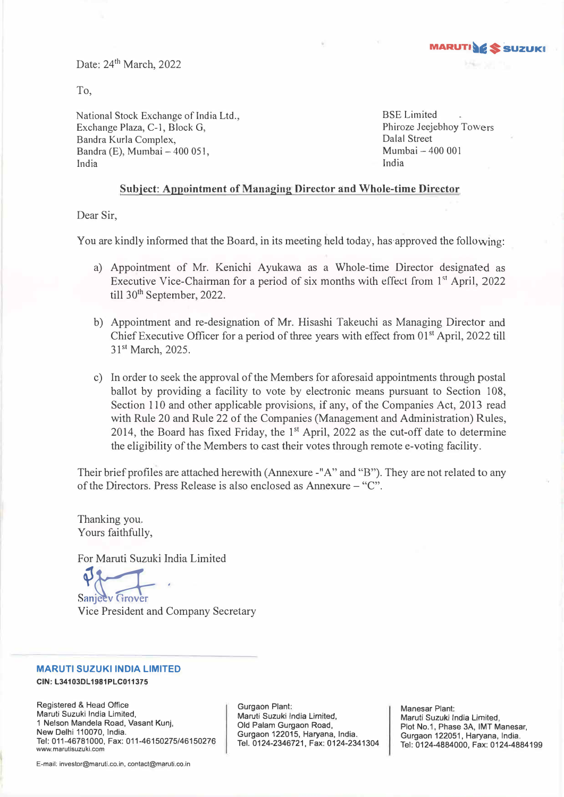Date: 24<sup>th</sup> March, 2022

To,

National Stock Exchange of India Ltd., Exchange Plaza, C-1, Block G, Bandra Kurla Complex, Bandra (E), Mumbai - 400 051, India

BSE Limited Phiroze Jeejebhoy Towers Dalal Street Mumbai - 400 001 India

**MARUTIWE** 

### **Subject: Appointment of Managing Director and Whole-time Director**

Dear Sir,

You are kindly informed that the Board, in its meeting held today, has-approved the following:

- a) Appointment of Mr. Kenichi Ayukawa as a Whole-time Director designated as Executive Vice-Chairman for a period of six months with effect from 1<sup>st</sup> April, 2022 till 30<sup>th</sup> September, 2022.
- b) Appointment and re-designation of Mr. Hisashi Takeuchi as Managing Director and Chief Executive Officer for a period of three years with effect from 01<sup>st</sup> April, 2022 till 31st March, 2025.
- c) In order to seek the approval of the Members for aforesaid appointments through postal ballot by providing a facility to vote by electronic means pursuant to Section 108, Section 110 and other applicable provisions, if any, of the Companies Act, 2013 read with Rule 20 and Rule 22 of the Companies (Management and Administration) Rules, 2014, the Board has fixed Friday, the  $1<sup>st</sup>$  April, 2022 as the cut-off date to determine the eligibility of the Members to cast their votes through remote e-voting facility.

Their brief profiles are attached herewith (Annexure -"A" and "B"). They are not related to any of the Directors. Press Release is also enclosed as Annexure - "C".

Thanking you. Yours faithfully,

For Maruti Suzuki India Limited

Sanjeev Grover

Vice President and Company Secretary

#### **MARUTI SUZUKI INDIA LIMITED**

**CIN: L34103DL1981PLC011375** 

Registered & Head Office Maruti Suzuki India Limited, 1 Nelson Mandela Road, Vasant Kunj, New Delhi 110070, India. Tel: 011-46781000, Fax: 011-46150275/46150276 www.marutisuzuki.com

Gurgaon Plant: Marvti Suzuki India Limited, Old Palam Gurgaon Road, Gurgaon 122015, Haryana, India. Tel. 0124-2346721, Fax: 0124-2341304 Manesar Plant: Maruti Suzuki India Limited, Plot No.1, Phase 3A, IMT Manesar, Gurgaon 122051, Haryana, India. Tel: 0124-4884000, Fax: 0124-4884199

E-mail: investor@maruti.co.in, contact@maruti.co.in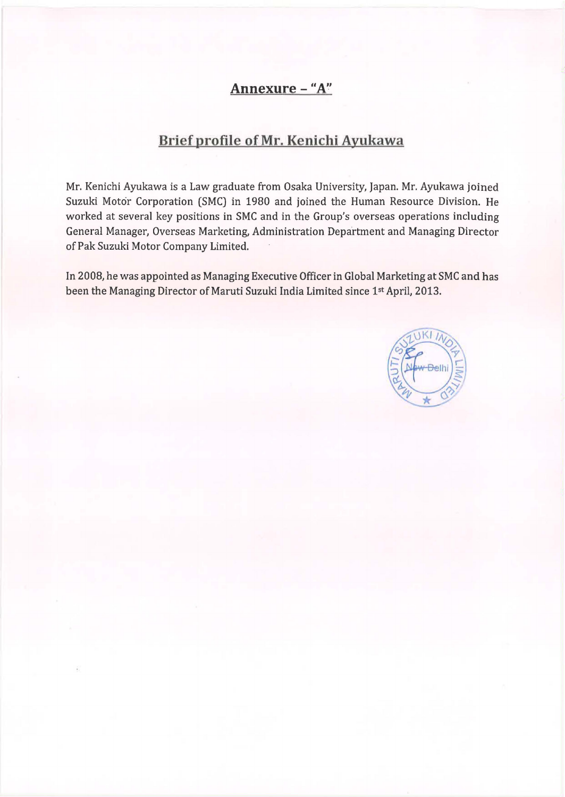# **Annexure - "A"**

# **Brief profile of Mr. Kenichi Ayukawa**

Mr. Kenichi Ayukawa is a Law graduate from Osaka University, Japan. Mr. Ayukawa joined Suzuki Motor Corporation (SMC) in 1980 and joined the Human Resource Division. He worked at several key positions in SMC and in the Group's overseas operations including General Manager, Overseas Marketing, Administration Department and Managing Director of Pak Suzuki Motor Company Limited.

In 2008, he was appointed as Managing Executive Officer in Global Marketing at SMC and has been the Managing Director of Maruti Suzuki India Limited since 1st April, 2013.

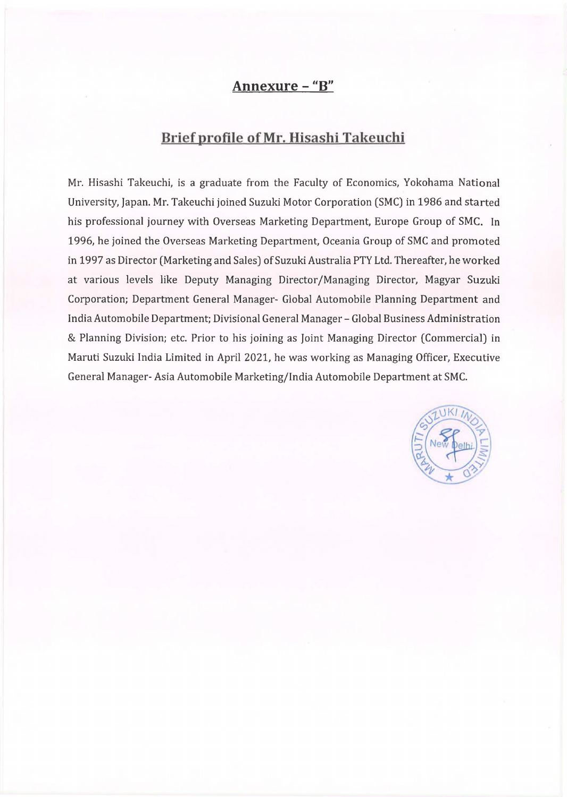## **Annexure - "B"**

## **Brief profile of Mr. Hisashi Takeuchi**

Mr. Hisashi Takeuchi, is a graduate from the Faculty of Economics, Yokohama National University, Japan. Mr. Takeuchi joined Suzuki Motor Corporation (SMC) in 1986 and started his professional journey with Overseas Marketing Department, Europe Group of SMC. In 1996, he joined the Overseas Marketing Department, Oceania Group of SMC and promoted in 1997 as Director (Marketing and Sales) of Suzuki Australia PTY Ltd. Thereafter, he worked at various levels like Deputy Managing Director/Managing Director, Magyar Suzuki Corporation; Department General Manager- Global Automobile Planning Department and India Automobile Department; Divisional General Manager - Global Business Administration & Planning Division; etc. Prior to his joining as Joint Managing Director (Commercial) in Maruti Suzuki India Limited in April 2021, he was working as Managing Officer, Executive General Manager- Asia Automobile Marketing/India Automobile Department at SMC.